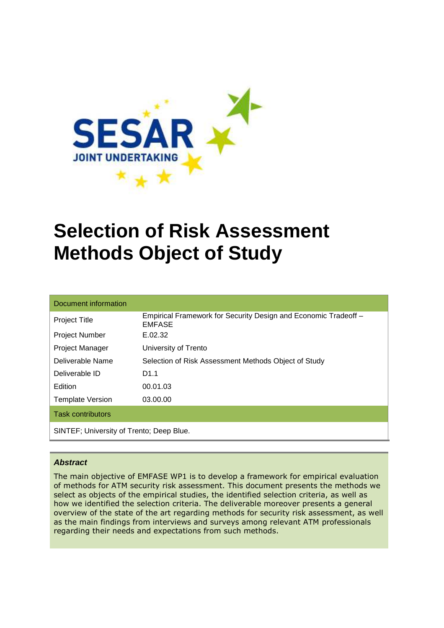

# **Selection of Risk Assessment Methods Object of Study**

| Document information                     |                                                                                  |  |
|------------------------------------------|----------------------------------------------------------------------------------|--|
| <b>Project Title</b>                     | Empirical Framework for Security Design and Economic Tradeoff -<br><b>EMFASE</b> |  |
| <b>Project Number</b>                    | E.02.32                                                                          |  |
| Project Manager                          | University of Trento                                                             |  |
| Deliverable Name                         | Selection of Risk Assessment Methods Object of Study                             |  |
| Deliverable ID                           | D <sub>1.1</sub>                                                                 |  |
| Edition                                  | 00.01.03                                                                         |  |
| <b>Template Version</b>                  | 03.00.00                                                                         |  |
| <b>Task contributors</b>                 |                                                                                  |  |
| SINTEF; University of Trento; Deep Blue. |                                                                                  |  |

#### **Abstract**

The main objective of EMFASE WP1 is to develop a framework for empirical evaluation of methods for ATM security risk assessment. This document presents the methods we select as objects of the empirical studies, the identified selection criteria, as well as how we identified the selection criteria. The deliverable moreover presents a general overview of the state of the art regarding methods for security risk assessment, as well as the main findings from interviews and surveys among relevant ATM professionals regarding their needs and expectations from such methods.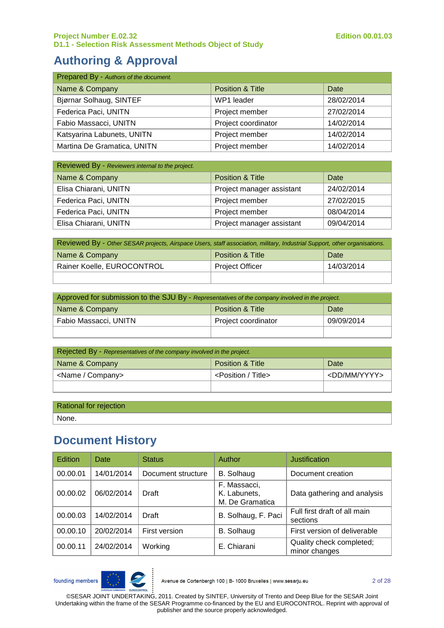# **Authoring & Approval**

| Prepared By - Authors of the document. |                             |            |
|----------------------------------------|-----------------------------|------------|
| Name & Company                         | <b>Position &amp; Title</b> | Date       |
| Bjørnar Solhaug, SINTEF                | WP1 leader                  | 28/02/2014 |
| Federica Paci, UNITN                   | Project member              | 27/02/2014 |
| Fabio Massacci, UNITN                  | Project coordinator         | 14/02/2014 |
| Katsyarina Labunets, UNITN             | Project member              | 14/02/2014 |
| Martina De Gramatica, UNITN            | Project member              | 14/02/2014 |

| Reviewed By - Reviewers internal to the project. |                             |            |
|--------------------------------------------------|-----------------------------|------------|
| Name & Company                                   | <b>Position &amp; Title</b> | Date       |
| Elisa Chiarani, UNITN                            | Project manager assistant   | 24/02/2014 |
| Federica Paci, UNITN                             | Project member              | 27/02/2015 |
| Federica Paci, UNITN                             | Project member              | 08/04/2014 |
| Elisa Chiarani, UNITN                            | Project manager assistant   | 09/04/2014 |

| Reviewed By - Other SESAR projects, Airspace Users, staff association, military, Industrial Support, other organisations. |                        |            |
|---------------------------------------------------------------------------------------------------------------------------|------------------------|------------|
| Name & Company                                                                                                            | Position & Title       | Date       |
| Rainer Koelle, EUROCONTROL                                                                                                | <b>Project Officer</b> | 14/03/2014 |
|                                                                                                                           |                        |            |

| Approved for submission to the SJU By - Representatives of the company involved in the project. |                     |            |
|-------------------------------------------------------------------------------------------------|---------------------|------------|
| Name & Company<br>Position & Title<br>Date                                                      |                     |            |
| Fabio Massacci, UNITN                                                                           | Project coordinator | 09/09/2014 |
|                                                                                                 |                     |            |

| Rejected By - Representatives of the company involved in the project. |                                |                         |
|-----------------------------------------------------------------------|--------------------------------|-------------------------|
| Name & Company<br><b>Position &amp; Title</b><br>Date                 |                                |                         |
| <name company=""></name>                                              | <position title=""></position> | <dd mm="" yyyy=""></dd> |
|                                                                       |                                |                         |

Rational for rejection

None.

# **Document History**

| <b>Edition</b> | Date       | <b>Status</b>      | Author                                          | Justification                             |
|----------------|------------|--------------------|-------------------------------------------------|-------------------------------------------|
| 00.00.01       | 14/01/2014 | Document structure | <b>B.</b> Solhaug                               | Document creation                         |
| 00.00.02       | 06/02/2014 | Draft              | F. Massacci,<br>K. Labunets,<br>M. De Gramatica | Data gathering and analysis               |
| 00.00.03       | 14/02/2014 | Draft              | B. Solhaug, F. Paci                             | Full first draft of all main<br>sections  |
| 00.00.10       | 20/02/2014 | First version      | <b>B.</b> Solhaug                               | First version of deliverable              |
| 00.00.11       | 24/02/2014 | Working            | E. Chiarani                                     | Quality check completed;<br>minor changes |

founding members



Avenue de Cortenbergh 100 | B- 1000 Bruxelles | www.sesarju.eu

2 of 28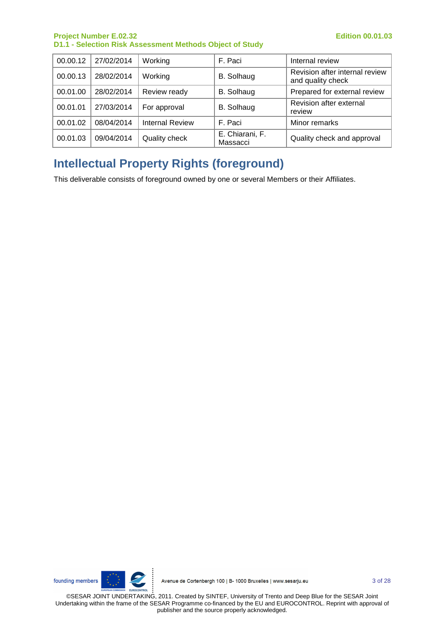| 00.00.12 | 27/02/2014 | Working                | F. Paci                     | Internal review                                     |
|----------|------------|------------------------|-----------------------------|-----------------------------------------------------|
| 00.00.13 | 28/02/2014 | Working                | B. Solhaug                  | Revision after internal review<br>and quality check |
| 00.01.00 | 28/02/2014 | Review ready           | B. Solhaug                  | Prepared for external review                        |
| 00.01.01 | 27/03/2014 | For approval           | B. Solhaug                  | Revision after external<br>review                   |
| 00.01.02 | 08/04/2014 | <b>Internal Review</b> | F. Paci                     | Minor remarks                                       |
| 00.01.03 | 09/04/2014 | Quality check          | E. Chiarani, F.<br>Massacci | Quality check and approval                          |

# **Intellectual Property Rights (foreground)**

This deliverable consists of foreground owned by one or several Members or their Affiliates.

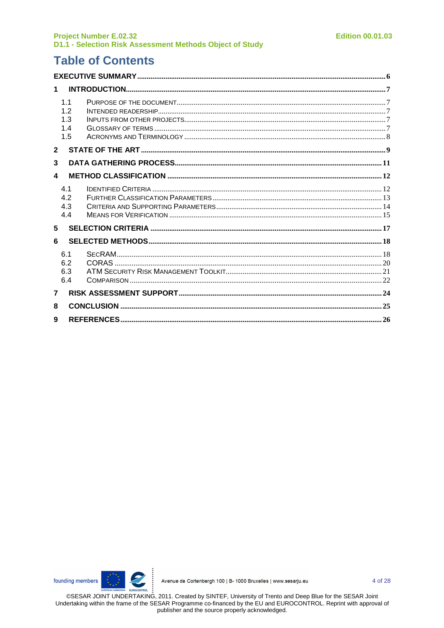# **Table of Contents**

| 1                |                                |  |
|------------------|--------------------------------|--|
|                  | 1.1<br>12<br>1.3<br>1.4<br>1.5 |  |
| $\mathbf{2}$     |                                |  |
| 3                |                                |  |
| $\blacktriangle$ |                                |  |
|                  | 4.1<br>4.2<br>4.3<br>4.4       |  |
| 5                |                                |  |
| 6                |                                |  |
|                  | 6.1<br>6.2<br>6.3<br>6.4       |  |
| $\overline{7}$   |                                |  |
| 8                |                                |  |
| 9                |                                |  |

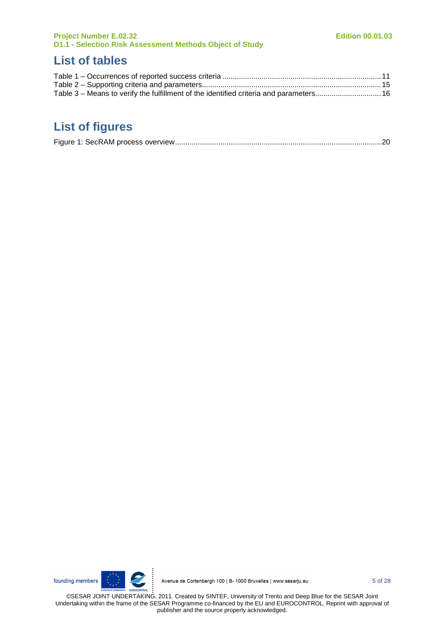# **List of tables**

| Table 3 – Means to verify the fulfillment of the identified criteria and parameters 16 |  |
|----------------------------------------------------------------------------------------|--|

# **List of figures**

|--|



Avenue de Cortenbergh 100 | B- 1000 Bruxelles | www.sesarju.eu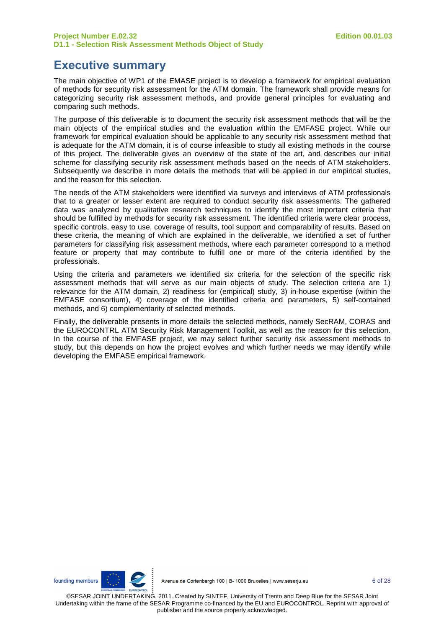### **Executive summary**

The main objective of WP1 of the EMASE project is to develop a framework for empirical evaluation of methods for security risk assessment for the ATM domain. The framework shall provide means for categorizing security risk assessment methods, and provide general principles for evaluating and comparing such methods.

The purpose of this deliverable is to document the security risk assessment methods that will be the main objects of the empirical studies and the evaluation within the EMFASE project. While our framework for empirical evaluation should be applicable to any security risk assessment method that is adequate for the ATM domain, it is of course infeasible to study all existing methods in the course of this project. The deliverable gives an overview of the state of the art, and describes our initial scheme for classifying security risk assessment methods based on the needs of ATM stakeholders. Subsequently we describe in more details the methods that will be applied in our empirical studies, and the reason for this selection.

The needs of the ATM stakeholders were identified via surveys and interviews of ATM professionals that to a greater or lesser extent are required to conduct security risk assessments. The gathered data was analyzed by qualitative research techniques to identify the most important criteria that should be fulfilled by methods for security risk assessment. The identified criteria were clear process, specific controls, easy to use, coverage of results, tool support and comparability of results. Based on these criteria, the meaning of which are explained in the deliverable, we identified a set of further parameters for classifying risk assessment methods, where each parameter correspond to a method feature or property that may contribute to fulfill one or more of the criteria identified by the professionals.

Using the criteria and parameters we identified six criteria for the selection of the specific risk assessment methods that will serve as our main objects of study. The selection criteria are 1) relevance for the ATM domain, 2) readiness for (empirical) study, 3) in-house expertise (within the EMFASE consortium), 4) coverage of the identified criteria and parameters, 5) self-contained methods, and 6) complementarity of selected methods.

Finally, the deliverable presents in more details the selected methods, namely SecRAM, CORAS and the EUROCONTRL ATM Security Risk Management Toolkit, as well as the reason for this selection. In the course of the EMFASE project, we may select further security risk assessment methods to study, but this depends on how the project evolves and which further needs we may identify while developing the EMFASE empirical framework.

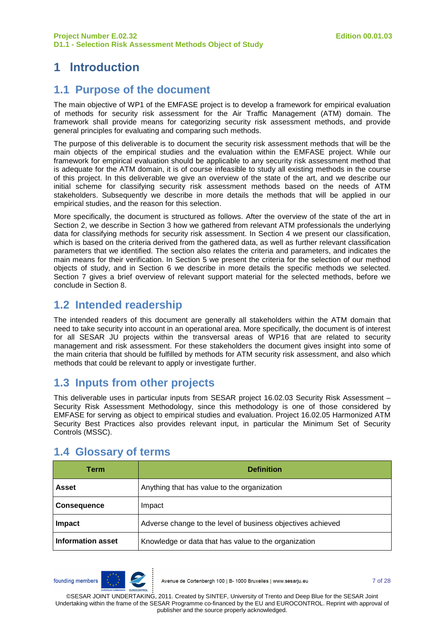# **1 Introduction**

#### **1.1 Purpose of the document**

The main objective of WP1 of the EMFASE project is to develop a framework for empirical evaluation of methods for security risk assessment for the Air Traffic Management (ATM) domain. The framework shall provide means for categorizing security risk assessment methods, and provide general principles for evaluating and comparing such methods.

The purpose of this deliverable is to document the security risk assessment methods that will be the main objects of the empirical studies and the evaluation within the EMFASE project. While our framework for empirical evaluation should be applicable to any security risk assessment method that is adequate for the ATM domain, it is of course infeasible to study all existing methods in the course of this project. In this deliverable we give an overview of the state of the art, and we describe our initial scheme for classifying security risk assessment methods based on the needs of ATM stakeholders. Subsequently we describe in more details the methods that will be applied in our empirical studies, and the reason for this selection.

More specifically, the document is structured as follows. After the overview of the state of the art in Section 2, we describe in Section 3 how we gathered from relevant ATM professionals the underlying data for classifying methods for security risk assessment. In Section 4 we present our classification, which is based on the criteria derived from the gathered data, as well as further relevant classification parameters that we identified. The section also relates the criteria and parameters, and indicates the main means for their verification. In Section 5 we present the criteria for the selection of our method objects of study, and in Section 6 we describe in more details the specific methods we selected. Section 7 gives a brief overview of relevant support material for the selected methods, before we conclude in Section 8.

### **1.2 Intended readership**

The intended readers of this document are generally all stakeholders within the ATM domain that need to take security into account in an operational area. More specifically, the document is of interest for all SESAR JU projects within the transversal areas of WP16 that are related to security management and risk assessment. For these stakeholders the document gives insight into some of the main criteria that should be fulfilled by methods for ATM security risk assessment, and also which methods that could be relevant to apply or investigate further.

### **1.3 Inputs from other projects**

This deliverable uses in particular inputs from SESAR project 16.02.03 Security Risk Assessment – Security Risk Assessment Methodology, since this methodology is one of those considered by EMFASE for serving as object to empirical studies and evaluation. Project 16.02.05 Harmonized ATM Security Best Practices also provides relevant input, in particular the Minimum Set of Security Controls (MSSC).

| <b>Definition</b><br>Term |                                                             |
|---------------------------|-------------------------------------------------------------|
| <b>Asset</b>              | Anything that has value to the organization                 |
| <b>Consequence</b>        | Impact                                                      |
| Impact                    | Adverse change to the level of business objectives achieved |
| <b>Information asset</b>  | Knowledge or data that has value to the organization        |

### **1.4 Glossary of terms**

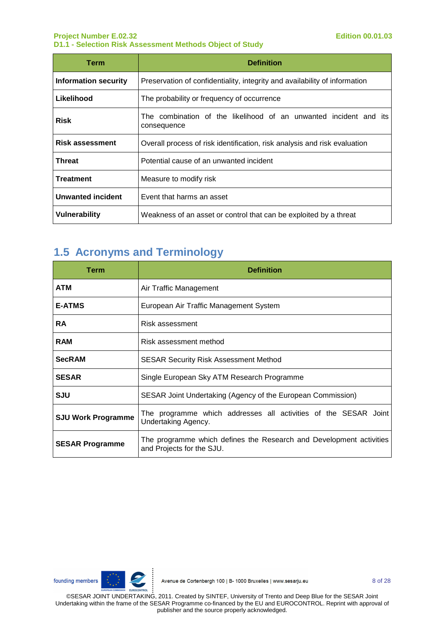| Term                     | <b>Definition</b>                                                                |  |  |  |  |  |  |
|--------------------------|----------------------------------------------------------------------------------|--|--|--|--|--|--|
| Information security     | Preservation of confidentiality, integrity and availability of information       |  |  |  |  |  |  |
| Likelihood               | The probability or frequency of occurrence                                       |  |  |  |  |  |  |
| <b>Risk</b>              | The combination of the likelihood of an unwanted incident and its<br>consequence |  |  |  |  |  |  |
| <b>Risk assessment</b>   | Overall process of risk identification, risk analysis and risk evaluation        |  |  |  |  |  |  |
| Threat                   | Potential cause of an unwanted incident                                          |  |  |  |  |  |  |
| <b>Treatment</b>         | Measure to modify risk                                                           |  |  |  |  |  |  |
| <b>Unwanted incident</b> | Event that harms an asset                                                        |  |  |  |  |  |  |
| Vulnerability            | Weakness of an asset or control that can be exploited by a threat                |  |  |  |  |  |  |

# **1.5 Acronyms and Terminology**

| Term                      | <b>Definition</b>                                                                                |  |  |  |  |  |  |  |
|---------------------------|--------------------------------------------------------------------------------------------------|--|--|--|--|--|--|--|
| <b>ATM</b>                | Air Traffic Management                                                                           |  |  |  |  |  |  |  |
| <b>E-ATMS</b>             | European Air Traffic Management System                                                           |  |  |  |  |  |  |  |
| <b>RA</b>                 | Risk assessment                                                                                  |  |  |  |  |  |  |  |
| <b>RAM</b>                | Risk assessment method                                                                           |  |  |  |  |  |  |  |
| <b>SecRAM</b>             | <b>SESAR Security Risk Assessment Method</b>                                                     |  |  |  |  |  |  |  |
| <b>SESAR</b>              | Single European Sky ATM Research Programme                                                       |  |  |  |  |  |  |  |
| SJU                       | SESAR Joint Undertaking (Agency of the European Commission)                                      |  |  |  |  |  |  |  |
| <b>SJU Work Programme</b> | The programme which addresses all activities of the SESAR Joint<br>Undertaking Agency.           |  |  |  |  |  |  |  |
| <b>SESAR Programme</b>    | The programme which defines the Research and Development activities<br>and Projects for the SJU. |  |  |  |  |  |  |  |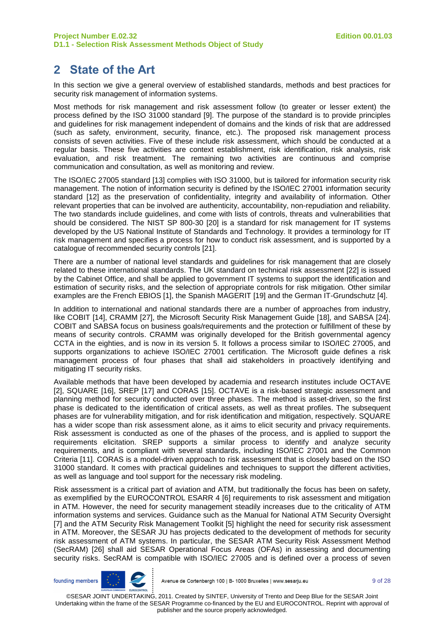# **2 State of the Art**

In this section we give a general overview of established standards, methods and best practices for security risk management of information systems.

Most methods for risk management and risk assessment follow (to greater or lesser extent) the process defined by the ISO 31000 standard [9]. The purpose of the standard is to provide principles and guidelines for risk management independent of domains and the kinds of risk that are addressed (such as safety, environment, security, finance, etc.). The proposed risk management process consists of seven activities. Five of these include risk assessment, which should be conducted at a regular basis. These five activities are context establishment, risk identification, risk analysis, risk evaluation, and risk treatment. The remaining two activities are continuous and comprise communication and consultation, as well as monitoring and review.

The ISO/IEC 27005 standard [13] complies with ISO 31000, but is tailored for information security risk management. The notion of information security is defined by the ISO/IEC 27001 information security standard [12] as the preservation of confidentiality, integrity and availability of information. Other relevant properties that can be involved are authenticity, accountability, non-repudiation and reliability. The two standards include guidelines, and come with lists of controls, threats and vulnerabilities that should be considered. The NIST SP 800-30 [20] is a standard for risk management for IT systems developed by the US National Institute of Standards and Technology. It provides a terminology for IT risk management and specifies a process for how to conduct risk assessment, and is supported by a catalogue of recommended security controls [21].

There are a number of national level standards and guidelines for risk management that are closely related to these international standards. The UK standard on technical risk assessment [22] is issued by the Cabinet Office, and shall be applied to government IT systems to support the identification and estimation of security risks, and the selection of appropriate controls for risk mitigation. Other similar examples are the French EBIOS [1], the Spanish MAGERIT [19] and the German IT-Grundschutz [4].

In addition to international and national standards there are a number of approaches from industry, like COBIT [14], CRAMM [27], the Microsoft Security Risk Management Guide [18], and SABSA [24]. COBIT and SABSA focus on business goals/requirements and the protection or fulfillment of these by means of security controls. CRAMM was originally developed for the British governmental agency CCTA in the eighties, and is now in its version 5. It follows a process similar to ISO/IEC 27005, and supports organizations to achieve ISO/IEC 27001 certification. The Microsoft guide defines a risk management process of four phases that shall aid stakeholders in proactively identifying and mitigating IT security risks.

Available methods that have been developed by academia and research institutes include OCTAVE [2], SQUARE [16], SREP [17] and CORAS [15]. OCTAVE is a risk-based strategic assessment and planning method for security conducted over three phases. The method is asset-driven, so the first phase is dedicated to the identification of critical assets, as well as threat profiles. The subsequent phases are for vulnerability mitigation, and for risk identification and mitigation, respectively. SQUARE has a wider scope than risk assessment alone, as it aims to elicit security and privacy requirements. Risk assessment is conducted as one of the phases of the process, and is applied to support the requirements elicitation. SREP supports a similar process to identify and analyze security requirements, and is compliant with several standards, including ISO/IEC 27001 and the Common Criteria [11]. CORAS is a model-driven approach to risk assessment that is closely based on the ISO 31000 standard. It comes with practical guidelines and techniques to support the different activities, as well as language and tool support for the necessary risk modeling.

Risk assessment is a critical part of aviation and ATM, but traditionally the focus has been on safety, as exemplified by the EUROCONTROL ESARR 4 [6] requirements to risk assessment and mitigation in ATM. However, the need for security management steadily increases due to the criticality of ATM information systems and services. Guidance such as the Manual for National ATM Security Oversight [7] and the ATM Security Risk Management Toolkit [5] highlight the need for security risk assessment in ATM. Moreover, the SESAR JU has projects dedicated to the development of methods for security risk assessment of ATM systems. In particular, the SESAR ATM Security Risk Assessment Method (SecRAM) [26] shall aid SESAR Operational Focus Areas (OFAs) in assessing and documenting security risks. SecRAM is compatible with ISO/IEC 27005 and is defined over a process of seven

founding members

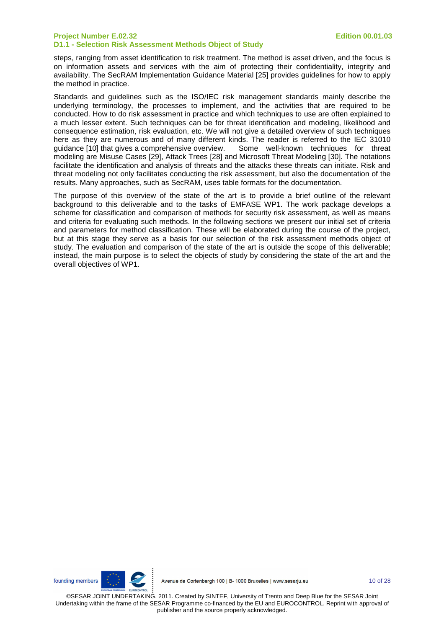steps, ranging from asset identification to risk treatment. The method is asset driven, and the focus is on information assets and services with the aim of protecting their confidentiality, integrity and availability. The SecRAM Implementation Guidance Material [25] provides guidelines for how to apply the method in practice.

Standards and guidelines such as the ISO/IEC risk management standards mainly describe the underlying terminology, the processes to implement, and the activities that are required to be conducted. How to do risk assessment in practice and which techniques to use are often explained to a much lesser extent. Such techniques can be for threat identification and modeling, likelihood and consequence estimation, risk evaluation, etc. We will not give a detailed overview of such techniques here as they are numerous and of many different kinds. The reader is referred to the IEC 31010 guidance [10] that gives a comprehensive overview. Some well-known techniques for threat modeling are Misuse Cases [29], Attack Trees [28] and Microsoft Threat Modeling [30]. The notations facilitate the identification and analysis of threats and the attacks these threats can initiate. Risk and threat modeling not only facilitates conducting the risk assessment, but also the documentation of the results. Many approaches, such as SecRAM, uses table formats for the documentation.

The purpose of this overview of the state of the art is to provide a brief outline of the relevant background to this deliverable and to the tasks of EMFASE WP1. The work package develops a scheme for classification and comparison of methods for security risk assessment, as well as means and criteria for evaluating such methods. In the following sections we present our initial set of criteria and parameters for method classification. These will be elaborated during the course of the project, but at this stage they serve as a basis for our selection of the risk assessment methods object of study. The evaluation and comparison of the state of the art is outside the scope of this deliverable; instead, the main purpose is to select the objects of study by considering the state of the art and the overall objectives of WP1.

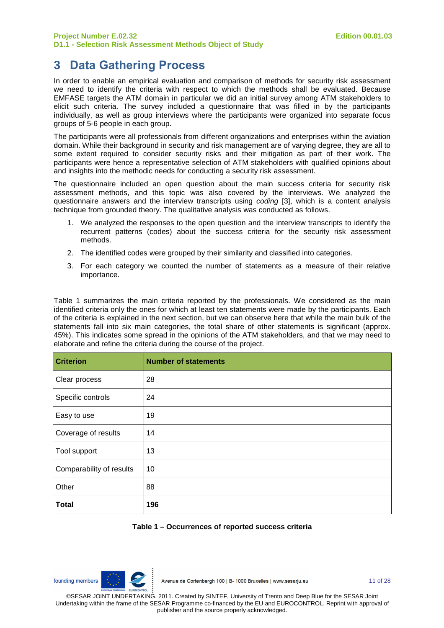### **3 Data Gathering Process**

In order to enable an empirical evaluation and comparison of methods for security risk assessment we need to identify the criteria with respect to which the methods shall be evaluated. Because EMFASE targets the ATM domain in particular we did an initial survey among ATM stakeholders to elicit such criteria. The survey included a questionnaire that was filled in by the participants individually, as well as group interviews where the participants were organized into separate focus groups of 5-6 people in each group.

The participants were all professionals from different organizations and enterprises within the aviation domain. While their background in security and risk management are of varying degree, they are all to some extent required to consider security risks and their mitigation as part of their work. The participants were hence a representative selection of ATM stakeholders with qualified opinions about and insights into the methodic needs for conducting a security risk assessment.

The questionnaire included an open question about the main success criteria for security risk assessment methods, and this topic was also covered by the interviews. We analyzed the questionnaire answers and the interview transcripts using coding [3], which is a content analysis technique from grounded theory. The qualitative analysis was conducted as follows.

- 1. We analyzed the responses to the open question and the interview transcripts to identify the recurrent patterns (codes) about the success criteria for the security risk assessment methods.
- 2. The identified codes were grouped by their similarity and classified into categories.
- 3. For each category we counted the number of statements as a measure of their relative importance.

Table 1 summarizes the main criteria reported by the professionals. We considered as the main identified criteria only the ones for which at least ten statements were made by the participants. Each of the criteria is explained in the next section, but we can observe here that while the main bulk of the statements fall into six main categories, the total share of other statements is significant (approx. 45%). This indicates some spread in the opinions of the ATM stakeholders, and that we may need to elaborate and refine the criteria during the course of the project.

| <b>Criterion</b>         | <b>Number of statements</b> |
|--------------------------|-----------------------------|
| Clear process            | 28                          |
| Specific controls        | 24                          |
| Easy to use              | 19                          |
| Coverage of results      | 14                          |
| Tool support             | 13                          |
| Comparability of results | 10                          |
| Other                    | 88                          |
| <b>Total</b>             | 196                         |

#### **Table 1 – Occurrences of reported success criteria**



11 of 28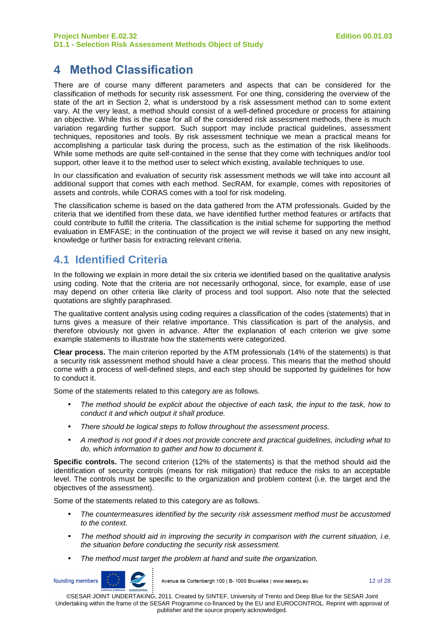# **4 Method Classification**

There are of course many different parameters and aspects that can be considered for the classification of methods for security risk assessment. For one thing, considering the overview of the state of the art in Section 2, what is understood by a risk assessment method can to some extent vary. At the very least, a method should consist of a well-defined procedure or process for attaining an objective. While this is the case for all of the considered risk assessment methods, there is much variation regarding further support. Such support may include practical guidelines, assessment techniques, repositories and tools. By risk assessment technique we mean a practical means for accomplishing a particular task during the process, such as the estimation of the risk likelihoods. While some methods are quite self-contained in the sense that they come with techniques and/or tool support, other leave it to the method user to select which existing, available techniques to use.

In our classification and evaluation of security risk assessment methods we will take into account all additional support that comes with each method. SecRAM, for example, comes with repositories of assets and controls, while CORAS comes with a tool for risk modeling.

The classification scheme is based on the data gathered from the ATM professionals. Guided by the criteria that we identified from these data, we have identified further method features or artifacts that could contribute to fulfill the criteria. The classification is the initial scheme for supporting the method evaluation in EMFASE; in the continuation of the project we will revise it based on any new insight, knowledge or further basis for extracting relevant criteria.

### **4.1 Identified Criteria**

In the following we explain in more detail the six criteria we identified based on the qualitative analysis using coding. Note that the criteria are not necessarily orthogonal, since, for example, ease of use may depend on other criteria like clarity of process and tool support. Also note that the selected quotations are slightly paraphrased.

The qualitative content analysis using coding requires a classification of the codes (statements) that in turns gives a measure of their relative importance. This classification is part of the analysis, and therefore obviously not given in advance. After the explanation of each criterion we give some example statements to illustrate how the statements were categorized.

**Clear process.** The main criterion reported by the ATM professionals (14% of the statements) is that a security risk assessment method should have a clear process. This means that the method should come with a process of well-defined steps, and each step should be supported by guidelines for how to conduct it.

Some of the statements related to this category are as follows.

- The method should be explicit about the objective of each task, the input to the task, how to conduct it and which output it shall produce.
- There should be logical steps to follow throughout the assessment process.
- A method is not good if it does not provide concrete and practical guidelines, including what to do, which information to gather and how to document it.

**Specific controls.** The second criterion (12% of the statements) is that the method should aid the identification of security controls (means for risk mitigation) that reduce the risks to an acceptable level. The controls must be specific to the organization and problem context (i.e. the target and the objectives of the assessment).

Some of the statements related to this category are as follows.

- The countermeasures identified by the security risk assessment method must be accustomed to the context.
- The method should aid in improving the security in comparison with the current situation, i.e. the situation before conducting the security risk assessment.
- The method must target the problem at hand and suite the organization.



Avenue de Cortenbergh 100 | B- 1000 Bruxelles | www.sesarju.eu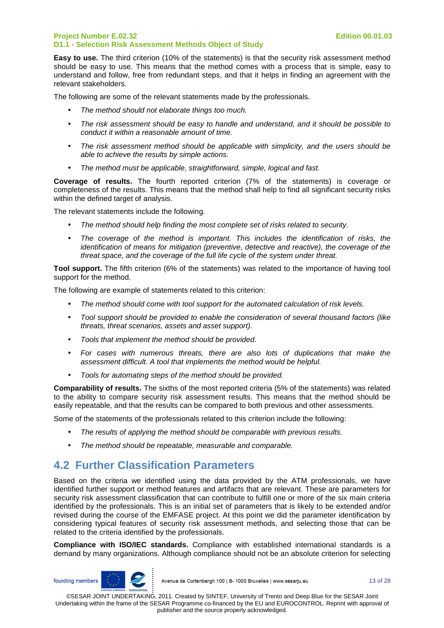**Easy to use.** The third criterion (10% of the statements) is that the security risk assessment method should be easy to use. This means that the method comes with a process that is simple, easy to understand and follow, free from redundant steps, and that it helps in finding an agreement with the relevant stakeholders.

The following are some of the relevant statements made by the professionals.

- The method should not elaborate things too much.
- The risk assessment should be easy to handle and understand, and it should be possible to conduct it within a reasonable amount of time.
- The risk assessment method should be applicable with simplicity, and the users should be able to achieve the results by simple actions.
- The method must be applicable, straightforward, simple, logical and fast.

**Coverage of results.** The fourth reported criterion (7% of the statements) is coverage or completeness of the results. This means that the method shall help to find all significant security risks within the defined target of analysis.

The relevant statements include the following.

- The method should help finding the most complete set of risks related to security.
- The coverage of the method is important. This includes the identification of risks, the identification of means for mitigation (preventive, detective and reactive), the coverage of the threat space, and the coverage of the full life cycle of the system under threat.

**Tool support.** The fifth criterion (6% of the statements) was related to the importance of having tool support for the method.

The following are example of statements related to this criterion:

- The method should come with tool support for the automated calculation of risk levels.
- Tool support should be provided to enable the consideration of several thousand factors (like threats, threat scenarios, assets and asset support).
- Tools that implement the method should be provided.
- For cases with numerous threats, there are also lots of duplications that make the assessment difficult. A tool that implements the method would be helpful.
- Tools for automating steps of the method should be provided.

**Comparability of results.** The sixths of the most reported criteria (5% of the statements) was related to the ability to compare security risk assessment results. This means that the method should be easily repeatable, and that the results can be compared to both previous and other assessments.

Some of the statements of the professionals related to this criterion include the following:

- The results of applying the method should be comparable with previous results.
- The method should be repeatable, measurable and comparable.

### **4.2 Further Classification Parameters**

Based on the criteria we identified using the data provided by the ATM professionals, we have identified further support or method features and artifacts that are relevant. These are parameters for security risk assessment classification that can contribute to fulfill one or more of the six main criteria identified by the professionals. This is an initial set of parameters that is likely to be extended and/or revised during the course of the EMFASE project. At this point we did the parameter identification by considering typical features of security risk assessment methods, and selecting those that can be related to the criteria identified by the professionals.

**Compliance with ISO/IEC standards.** Compliance with established international standards is a demand by many organizations. Although compliance should not be an absolute criterion for selecting



Avenue de Cortenbergh 100 | B- 1000 Bruxelles | www.sesarju.eu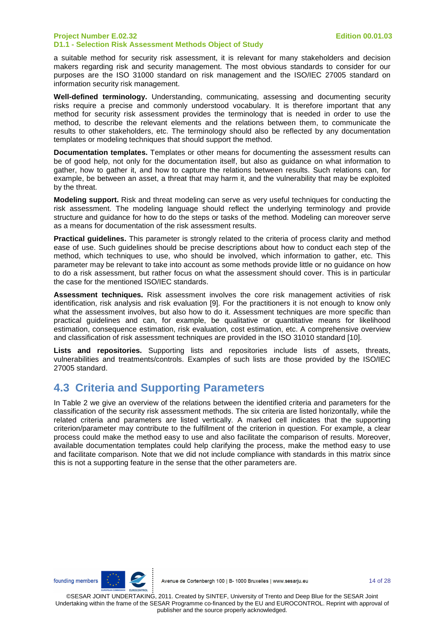a suitable method for security risk assessment, it is relevant for many stakeholders and decision makers regarding risk and security management. The most obvious standards to consider for our purposes are the ISO 31000 standard on risk management and the ISO/IEC 27005 standard on information security risk management.

**Well-defined terminology.** Understanding, communicating, assessing and documenting security risks require a precise and commonly understood vocabulary. It is therefore important that any method for security risk assessment provides the terminology that is needed in order to use the method, to describe the relevant elements and the relations between them, to communicate the results to other stakeholders, etc. The terminology should also be reflected by any documentation templates or modeling techniques that should support the method.

**Documentation templates.** Templates or other means for documenting the assessment results can be of good help, not only for the documentation itself, but also as guidance on what information to gather, how to gather it, and how to capture the relations between results. Such relations can, for example, be between an asset, a threat that may harm it, and the vulnerability that may be exploited by the threat.

**Modeling support.** Risk and threat modeling can serve as very useful techniques for conducting the risk assessment. The modeling language should reflect the underlying terminology and provide structure and guidance for how to do the steps or tasks of the method. Modeling can moreover serve as a means for documentation of the risk assessment results.

**Practical guidelines.** This parameter is strongly related to the criteria of process clarity and method ease of use. Such guidelines should be precise descriptions about how to conduct each step of the method, which techniques to use, who should be involved, which information to gather, etc. This parameter may be relevant to take into account as some methods provide little or no guidance on how to do a risk assessment, but rather focus on what the assessment should cover. This is in particular the case for the mentioned ISO/IEC standards.

**Assessment techniques.** Risk assessment involves the core risk management activities of risk identification, risk analysis and risk evaluation [9]. For the practitioners it is not enough to know only what the assessment involves, but also how to do it. Assessment techniques are more specific than practical guidelines and can, for example, be qualitative or quantitative means for likelihood estimation, consequence estimation, risk evaluation, cost estimation, etc. A comprehensive overview and classification of risk assessment techniques are provided in the ISO 31010 standard [10].

**Lists and repositories.** Supporting lists and repositories include lists of assets, threats, vulnerabilities and treatments/controls. Examples of such lists are those provided by the ISO/IEC 27005 standard.

### **4.3 Criteria and Supporting Parameters**

In Table 2 we give an overview of the relations between the identified criteria and parameters for the classification of the security risk assessment methods. The six criteria are listed horizontally, while the related criteria and parameters are listed vertically. A marked cell indicates that the supporting criterion/parameter may contribute to the fulfillment of the criterion in question. For example, a clear process could make the method easy to use and also facilitate the comparison of results. Moreover, available documentation templates could help clarifying the process, make the method easy to use and facilitate comparison. Note that we did not include compliance with standards in this matrix since this is not a supporting feature in the sense that the other parameters are.

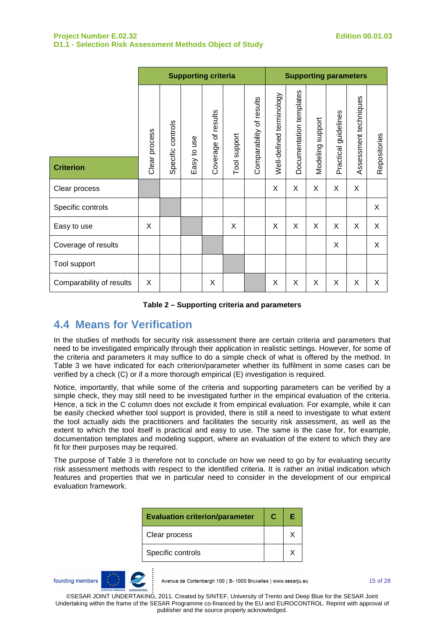|                          | <b>Supporting criteria</b> |          |         |            |         | <b>Supporting parameters</b> |                          |                         |          |                      |                       |              |
|--------------------------|----------------------------|----------|---------|------------|---------|------------------------------|--------------------------|-------------------------|----------|----------------------|-----------------------|--------------|
|                          | Clear process              | controls | use     | of results | support | Comparability of results     | Well-defined terminology | Documentation templates | support  | Practical guidelines | Assessment techniques | Repositories |
| <b>Criterion</b>         |                            | Specific | Easy to | Coverage   | Tool    |                              |                          |                         | Modeling |                      |                       |              |
| Clear process            |                            |          |         |            |         |                              | X                        | X                       | X        | X                    | X                     |              |
| Specific controls        |                            |          |         |            |         |                              |                          |                         |          |                      |                       | X            |
| Easy to use              | X                          |          |         |            | X       |                              | X                        | X                       | X        | X                    | X                     | X            |
| Coverage of results      |                            |          |         |            |         |                              |                          |                         |          | X                    |                       | X            |
| Tool support             |                            |          |         |            |         |                              |                          |                         |          |                      |                       |              |
| Comparability of results | X                          |          |         | X          |         |                              | X                        | X                       | X        | X                    | X                     | X            |

**Table 2 – Supporting criteria and parameters** 

### **4.4 Means for Verification**

In the studies of methods for security risk assessment there are certain criteria and parameters that need to be investigated empirically through their application in realistic settings. However, for some of the criteria and parameters it may suffice to do a simple check of what is offered by the method. In Table 3 we have indicated for each criterion/parameter whether its fulfilment in some cases can be verified by a check (C) or if a more thorough empirical (E) investigation is required.

Notice, importantly, that while some of the criteria and supporting parameters can be verified by a simple check, they may still need to be investigated further in the empirical evaluation of the criteria. Hence, a tick in the C column does not exclude it from empirical evaluation. For example, while it can be easily checked whether tool support is provided, there is still a need to investigate to what extent the tool actually aids the practitioners and facilitates the security risk assessment, as well as the extent to which the tool itself is practical and easy to use. The same is the case for, for example, documentation templates and modeling support, where an evaluation of the extent to which they are fit for their purposes may be required.

The purpose of Table 3 is therefore not to conclude on how we need to go by for evaluating security risk assessment methods with respect to the identified criteria. It is rather an initial indication which features and properties that we in particular need to consider in the development of our empirical evaluation framework.

| <b>Evaluation criterion/parameter</b> |  | Е |
|---------------------------------------|--|---|
| Clear process                         |  |   |
| Specific controls                     |  |   |

founding members

Avenue de Cortenbergh 100 | B- 1000 Bruxelles | www.sesarju.eu

15 of 28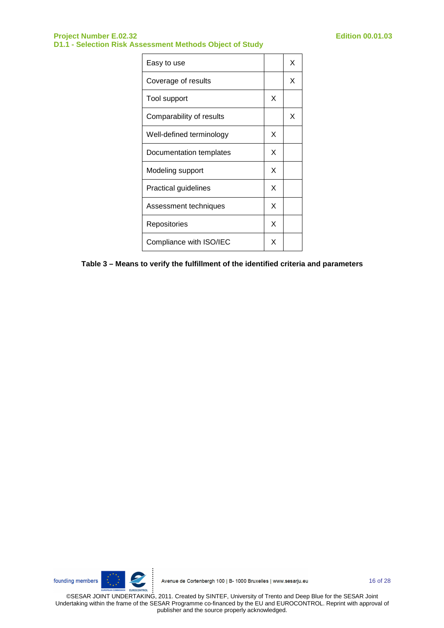| Easy to use                 |   | x |
|-----------------------------|---|---|
| Coverage of results         |   | X |
| Tool support                | X |   |
| Comparability of results    |   | х |
| Well-defined terminology    | X |   |
| Documentation templates     |   |   |
| Modeling support            |   |   |
| <b>Practical guidelines</b> |   |   |
| Assessment techniques       |   |   |
| Repositories                | X |   |
| Compliance with ISO/IEC     |   |   |

**Table 3 – Means to verify the fulfillment of the identified criteria and parameters** 

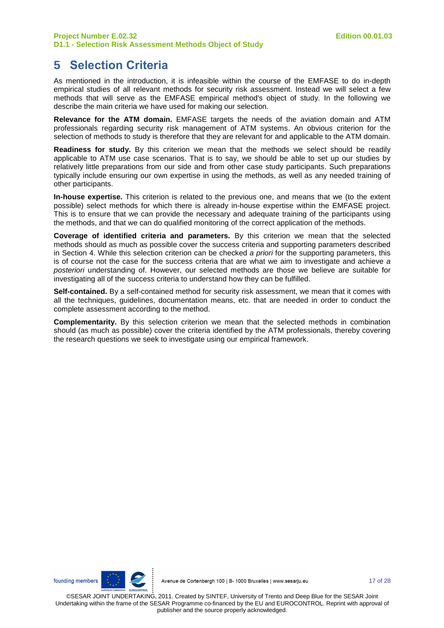# **5 Selection Criteria**

As mentioned in the introduction, it is infeasible within the course of the EMFASE to do in-depth empirical studies of all relevant methods for security risk assessment. Instead we will select a few methods that will serve as the EMFASE empirical method's object of study. In the following we describe the main criteria we have used for making our selection.

**Relevance for the ATM domain.** EMFASE targets the needs of the aviation domain and ATM professionals regarding security risk management of ATM systems. An obvious criterion for the selection of methods to study is therefore that they are relevant for and applicable to the ATM domain.

**Readiness for study.** By this criterion we mean that the methods we select should be readily applicable to ATM use case scenarios. That is to say, we should be able to set up our studies by relatively little preparations from our side and from other case study participants. Such preparations typically include ensuring our own expertise in using the methods, as well as any needed training of other participants.

**In-house expertise.** This criterion is related to the previous one, and means that we (to the extent possible) select methods for which there is already in-house expertise within the EMFASE project. This is to ensure that we can provide the necessary and adequate training of the participants using the methods, and that we can do qualified monitoring of the correct application of the methods.

**Coverage of identified criteria and parameters.** By this criterion we mean that the selected methods should as much as possible cover the success criteria and supporting parameters described in Section 4. While this selection criterion can be checked a priori for the supporting parameters, this is of course not the case for the success criteria that are what we aim to investigate and achieve a posteriori understanding of. However, our selected methods are those we believe are suitable for investigating all of the success criteria to understand how they can be fulfilled.

**Self-contained.** By a self-contained method for security risk assessment, we mean that it comes with all the techniques, guidelines, documentation means, etc. that are needed in order to conduct the complete assessment according to the method.

**Complementarity.** By this selection criterion we mean that the selected methods in combination should (as much as possible) cover the criteria identified by the ATM professionals, thereby covering the research questions we seek to investigate using our empirical framework.

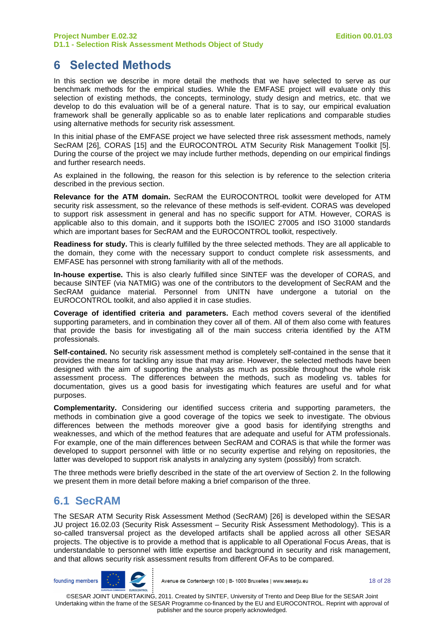### **6 Selected Methods**

In this section we describe in more detail the methods that we have selected to serve as our benchmark methods for the empirical studies. While the EMFASE project will evaluate only this selection of existing methods, the concepts, terminology, study design and metrics, etc. that we develop to do this evaluation will be of a general nature. That is to say, our empirical evaluation framework shall be generally applicable so as to enable later replications and comparable studies using alternative methods for security risk assessment.

In this initial phase of the EMFASE project we have selected three risk assessment methods, namely SecRAM [26], CORAS [15] and the EUROCONTROL ATM Security Risk Management Toolkit [5]. During the course of the project we may include further methods, depending on our empirical findings and further research needs.

As explained in the following, the reason for this selection is by reference to the selection criteria described in the previous section.

**Relevance for the ATM domain.** SecRAM the EUROCONTROL toolkit were developed for ATM security risk assessment, so the relevance of these methods is self-evident. CORAS was developed to support risk assessment in general and has no specific support for ATM. However, CORAS is applicable also to this domain, and it supports both the ISO/IEC 27005 and ISO 31000 standards which are important bases for SecRAM and the EUROCONTROL toolkit, respectively.

**Readiness for study.** This is clearly fulfilled by the three selected methods. They are all applicable to the domain, they come with the necessary support to conduct complete risk assessments, and EMFASE has personnel with strong familiarity with all of the methods.

**In-house expertise.** This is also clearly fulfilled since SINTEF was the developer of CORAS, and because SINTEF (via NATMIG) was one of the contributors to the development of SecRAM and the SecRAM guidance material. Personnel from UNITN have undergone a tutorial on the EUROCONTROL toolkit, and also applied it in case studies.

**Coverage of identified criteria and parameters.** Each method covers several of the identified supporting parameters, and in combination they cover all of them. All of them also come with features that provide the basis for investigating all of the main success criteria identified by the ATM professionals.

**Self-contained.** No security risk assessment method is completely self-contained in the sense that it provides the means for tackling any issue that may arise. However, the selected methods have been designed with the aim of supporting the analysts as much as possible throughout the whole risk assessment process. The differences between the methods, such as modeling vs. tables for documentation, gives us a good basis for investigating which features are useful and for what purposes.

**Complementarity.** Considering our identified success criteria and supporting parameters, the methods in combination give a good coverage of the topics we seek to investigate. The obvious differences between the methods moreover give a good basis for identifying strengths and weaknesses, and which of the method features that are adequate and useful for ATM professionals. For example, one of the main differences between SecRAM and CORAS is that while the former was developed to support personnel with little or no security expertise and relying on repositories, the latter was developed to support risk analysts in analyzing any system (possibly) from scratch.

The three methods were briefly described in the state of the art overview of Section 2. In the following we present them in more detail before making a brief comparison of the three.

### **6.1 SecRAM**

The SESAR ATM Security Risk Assessment Method (SecRAM) [26] is developed within the SESAR JU project 16.02.03 (Security Risk Assessment – Security Risk Assessment Methodology). This is a so-called transversal project as the developed artifacts shall be applied across all other SESAR projects. The objective is to provide a method that is applicable to all Operational Focus Areas, that is understandable to personnel with little expertise and background in security and risk management, and that allows security risk assessment results from different OFAs to be compared.

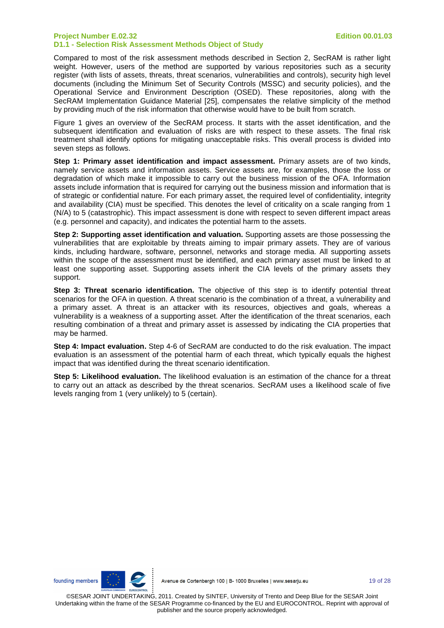Compared to most of the risk assessment methods described in Section 2, SecRAM is rather light weight. However, users of the method are supported by various repositories such as a security register (with lists of assets, threats, threat scenarios, vulnerabilities and controls), security high level documents (including the Minimum Set of Security Controls (MSSC) and security policies), and the Operational Service and Environment Description (OSED). These repositories, along with the SecRAM Implementation Guidance Material [25], compensates the relative simplicity of the method by providing much of the risk information that otherwise would have to be built from scratch.

Figure 1 gives an overview of the SecRAM process. It starts with the asset identification, and the subsequent identification and evaluation of risks are with respect to these assets. The final risk treatment shall identify options for mitigating unacceptable risks. This overall process is divided into seven steps as follows.

**Step 1: Primary asset identification and impact assessment.** Primary assets are of two kinds, namely service assets and information assets. Service assets are, for examples, those the loss or degradation of which make it impossible to carry out the business mission of the OFA. Information assets include information that is required for carrying out the business mission and information that is of strategic or confidential nature. For each primary asset, the required level of confidentiality, integrity and availability (CIA) must be specified. This denotes the level of criticality on a scale ranging from 1 (N/A) to 5 (catastrophic). This impact assessment is done with respect to seven different impact areas (e.g. personnel and capacity), and indicates the potential harm to the assets.

**Step 2: Supporting asset identification and valuation.** Supporting assets are those possessing the vulnerabilities that are exploitable by threats aiming to impair primary assets. They are of various kinds, including hardware, software, personnel, networks and storage media. All supporting assets within the scope of the assessment must be identified, and each primary asset must be linked to at least one supporting asset. Supporting assets inherit the CIA levels of the primary assets they support.

**Step 3: Threat scenario identification.** The objective of this step is to identify potential threat scenarios for the OFA in question. A threat scenario is the combination of a threat, a vulnerability and a primary asset. A threat is an attacker with its resources, objectives and goals, whereas a vulnerability is a weakness of a supporting asset. After the identification of the threat scenarios, each resulting combination of a threat and primary asset is assessed by indicating the CIA properties that may be harmed.

**Step 4: Impact evaluation.** Step 4-6 of SecRAM are conducted to do the risk evaluation. The impact evaluation is an assessment of the potential harm of each threat, which typically equals the highest impact that was identified during the threat scenario identification.

**Step 5: Likelihood evaluation.** The likelihood evaluation is an estimation of the chance for a threat to carry out an attack as described by the threat scenarios. SecRAM uses a likelihood scale of five levels ranging from 1 (very unlikely) to 5 (certain).

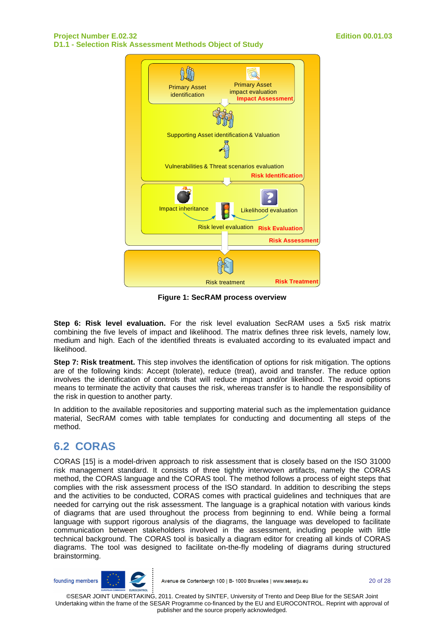

**Figure 1: SecRAM process overview** 

**Step 6: Risk level evaluation.** For the risk level evaluation SecRAM uses a 5x5 risk matrix combining the five levels of impact and likelihood. The matrix defines three risk levels, namely low, medium and high. Each of the identified threats is evaluated according to its evaluated impact and likelihood.

**Step 7: Risk treatment.** This step involves the identification of options for risk mitigation. The options are of the following kinds: Accept (tolerate), reduce (treat), avoid and transfer. The reduce option involves the identification of controls that will reduce impact and/or likelihood. The avoid options means to terminate the activity that causes the risk, whereas transfer is to handle the responsibility of the risk in question to another party.

In addition to the available repositories and supporting material such as the implementation guidance material, SecRAM comes with table templates for conducting and documenting all steps of the method.

### **6.2 CORAS**

CORAS [15] is a model-driven approach to risk assessment that is closely based on the ISO 31000 risk management standard. It consists of three tightly interwoven artifacts, namely the CORAS method, the CORAS language and the CORAS tool. The method follows a process of eight steps that complies with the risk assessment process of the ISO standard. In addition to describing the steps and the activities to be conducted, CORAS comes with practical guidelines and techniques that are needed for carrying out the risk assessment. The language is a graphical notation with various kinds of diagrams that are used throughout the process from beginning to end. While being a formal language with support rigorous analysis of the diagrams, the language was developed to facilitate communication between stakeholders involved in the assessment, including people with little technical background. The CORAS tool is basically a diagram editor for creating all kinds of CORAS diagrams. The tool was designed to facilitate on-the-fly modeling of diagrams during structured brainstorming.

founding members



Avenue de Cortenbergh 100 | B- 1000 Bruxelles | www.sesarju.eu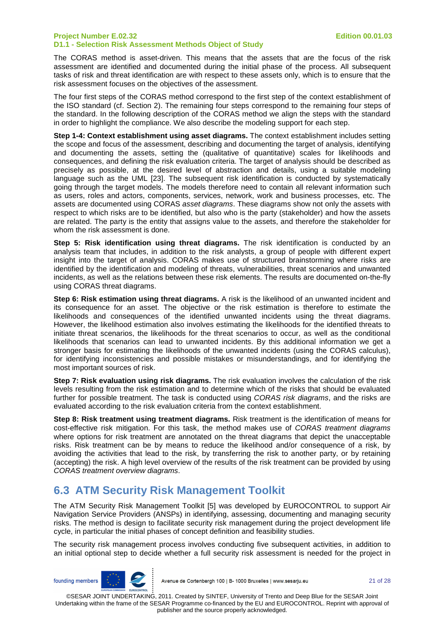The CORAS method is asset-driven. This means that the assets that are the focus of the risk assessment are identified and documented during the initial phase of the process. All subsequent tasks of risk and threat identification are with respect to these assets only, which is to ensure that the risk assessment focuses on the objectives of the assessment.

The four first steps of the CORAS method correspond to the first step of the context establishment of the ISO standard (cf. Section 2). The remaining four steps correspond to the remaining four steps of the standard. In the following description of the CORAS method we align the steps with the standard in order to highlight the compliance. We also describe the modeling support for each step.

**Step 1-4: Context establishment using asset diagrams.** The context establishment includes setting the scope and focus of the assessment, describing and documenting the target of analysis, identifying and documenting the assets, setting the (qualitative of quantitative) scales for likelihoods and consequences, and defining the risk evaluation criteria. The target of analysis should be described as precisely as possible, at the desired level of abstraction and details, using a suitable modeling language such as the UML [23]. The subsequent risk identification is conducted by systematically going through the target models. The models therefore need to contain all relevant information such as users, roles and actors, components, services, network, work and business processes, etc. The assets are documented using CORAS asset diagrams. These diagrams show not only the assets with respect to which risks are to be identified, but also who is the party (stakeholder) and how the assets are related. The party is the entity that assigns value to the assets, and therefore the stakeholder for whom the risk assessment is done.

**Step 5: Risk identification using threat diagrams.** The risk identification is conducted by an analysis team that includes, in addition to the risk analysts, a group of people with different expert insight into the target of analysis. CORAS makes use of structured brainstorming where risks are identified by the identification and modeling of threats, vulnerabilities, threat scenarios and unwanted incidents, as well as the relations between these risk elements. The results are documented on-the-fly using CORAS threat diagrams.

**Step 6: Risk estimation using threat diagrams.** A risk is the likelihood of an unwanted incident and its consequence for an asset. The objective or the risk estimation is therefore to estimate the likelihoods and consequences of the identified unwanted incidents using the threat diagrams. However, the likelihood estimation also involves estimating the likelihoods for the identified threats to initiate threat scenarios, the likelihoods for the threat scenarios to occur, as well as the conditional likelihoods that scenarios can lead to unwanted incidents. By this additional information we get a stronger basis for estimating the likelihoods of the unwanted incidents (using the CORAS calculus), for identifying inconsistencies and possible mistakes or misunderstandings, and for identifying the most important sources of risk.

**Step 7: Risk evaluation using risk diagrams.** The risk evaluation involves the calculation of the risk levels resulting from the risk estimation and to determine which of the risks that should be evaluated further for possible treatment. The task is conducted using CORAS risk diagrams, and the risks are evaluated according to the risk evaluation criteria from the context establishment.

**Step 8: Risk treatment using treatment diagrams.** Risk treatment is the identification of means for cost-effective risk mitigation. For this task, the method makes use of CORAS treatment diagrams where options for risk treatment are annotated on the threat diagrams that depict the unacceptable risks. Risk treatment can be by means to reduce the likelihood and/or consequence of a risk, by avoiding the activities that lead to the risk, by transferring the risk to another party, or by retaining (accepting) the risk. A high level overview of the results of the risk treatment can be provided by using CORAS treatment overview diagrams.

### **6.3 ATM Security Risk Management Toolkit**

The ATM Security Risk Management Toolkit [5] was developed by EUROCONTROL to support Air Navigation Service Providers (ANSPs) in identifying, assessing, documenting and managing security risks. The method is design to facilitate security risk management during the project development life cycle, in particular the initial phases of concept definition and feasibility studies.

The security risk management process involves conducting five subsequent activities, in addition to an initial optional step to decide whether a full security risk assessment is needed for the project in



Avenue de Cortenbergh 100 | B- 1000 Bruxelles | www.sesarju.eu

21 of 28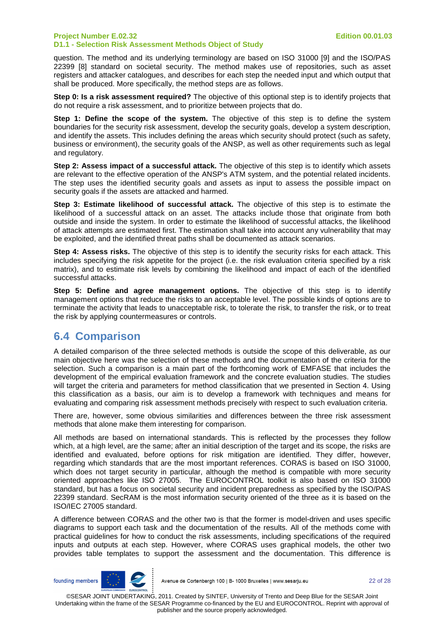question. The method and its underlying terminology are based on ISO 31000 [9] and the ISO/PAS 22399 [8] standard on societal security. The method makes use of repositories, such as asset registers and attacker catalogues, and describes for each step the needed input and which output that shall be produced. More specifically, the method steps are as follows.

**Step 0: Is a risk assessment required?** The objective of this optional step is to identify projects that do not require a risk assessment, and to prioritize between projects that do.

**Step 1: Define the scope of the system.** The objective of this step is to define the system boundaries for the security risk assessment, develop the security goals, develop a system description, and identify the assets. This includes defining the areas which security should protect (such as safety, business or environment), the security goals of the ANSP, as well as other requirements such as legal and regulatory.

**Step 2: Assess impact of a successful attack.** The objective of this step is to identify which assets are relevant to the effective operation of the ANSP's ATM system, and the potential related incidents. The step uses the identified security goals and assets as input to assess the possible impact on security goals if the assets are attacked and harmed.

**Step 3: Estimate likelihood of successful attack.** The objective of this step is to estimate the likelihood of a successful attack on an asset. The attacks include those that originate from both outside and inside the system. In order to estimate the likelihood of successful attacks, the likelihood of attack attempts are estimated first. The estimation shall take into account any vulnerability that may be exploited, and the identified threat paths shall be documented as attack scenarios.

**Step 4: Assess risks.** The objective of this step is to identify the security risks for each attack. This includes specifying the risk appetite for the project (i.e. the risk evaluation criteria specified by a risk matrix), and to estimate risk levels by combining the likelihood and impact of each of the identified successful attacks.

**Step 5: Define and agree management options.** The objective of this step is to identify management options that reduce the risks to an acceptable level. The possible kinds of options are to terminate the activity that leads to unacceptable risk, to tolerate the risk, to transfer the risk, or to treat the risk by applying countermeasures or controls.

### **6.4 Comparison**

A detailed comparison of the three selected methods is outside the scope of this deliverable, as our main objective here was the selection of these methods and the documentation of the criteria for the selection. Such a comparison is a main part of the forthcoming work of EMFASE that includes the development of the empirical evaluation framework and the concrete evaluation studies. The studies will target the criteria and parameters for method classification that we presented in Section 4. Using this classification as a basis, our aim is to develop a framework with techniques and means for evaluating and comparing risk assessment methods precisely with respect to such evaluation criteria.

There are, however, some obvious similarities and differences between the three risk assessment methods that alone make them interesting for comparison.

All methods are based on international standards. This is reflected by the processes they follow which, at a high level, are the same; after an initial description of the target and its scope, the risks are identified and evaluated, before options for risk mitigation are identified. They differ, however, regarding which standards that are the most important references. CORAS is based on ISO 31000, which does not target security in particular, although the method is compatible with more security oriented approaches like ISO 27005. The EUROCONTROL toolkit is also based on ISO 31000 standard, but has a focus on societal security and incident preparedness as specified by the ISO/PAS 22399 standard. SecRAM is the most information security oriented of the three as it is based on the ISO/IEC 27005 standard.

A difference between CORAS and the other two is that the former is model-driven and uses specific diagrams to support each task and the documentation of the results. All of the methods come with practical guidelines for how to conduct the risk assessments, including specifications of the required inputs and outputs at each step. However, where CORAS uses graphical models, the other two provides table templates to support the assessment and the documentation. This difference is

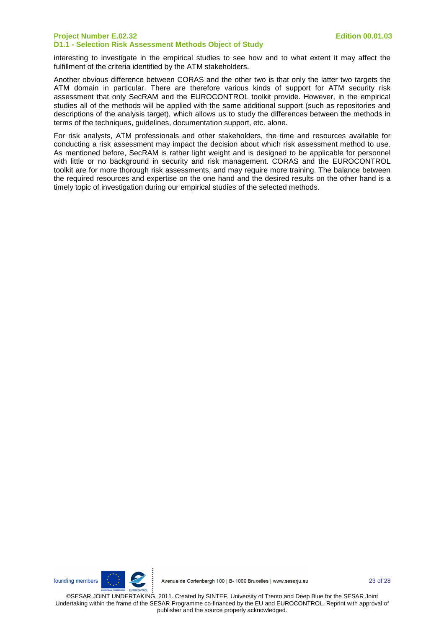interesting to investigate in the empirical studies to see how and to what extent it may affect the fulfillment of the criteria identified by the ATM stakeholders.

Another obvious difference between CORAS and the other two is that only the latter two targets the ATM domain in particular. There are therefore various kinds of support for ATM security risk assessment that only SecRAM and the EUROCONTROL toolkit provide. However, in the empirical studies all of the methods will be applied with the same additional support (such as repositories and descriptions of the analysis target), which allows us to study the differences between the methods in terms of the techniques, guidelines, documentation support, etc. alone.

For risk analysts, ATM professionals and other stakeholders, the time and resources available for conducting a risk assessment may impact the decision about which risk assessment method to use. As mentioned before, SecRAM is rather light weight and is designed to be applicable for personnel with little or no background in security and risk management. CORAS and the EUROCONTROL toolkit are for more thorough risk assessments, and may require more training. The balance between the required resources and expertise on the one hand and the desired results on the other hand is a timely topic of investigation during our empirical studies of the selected methods.

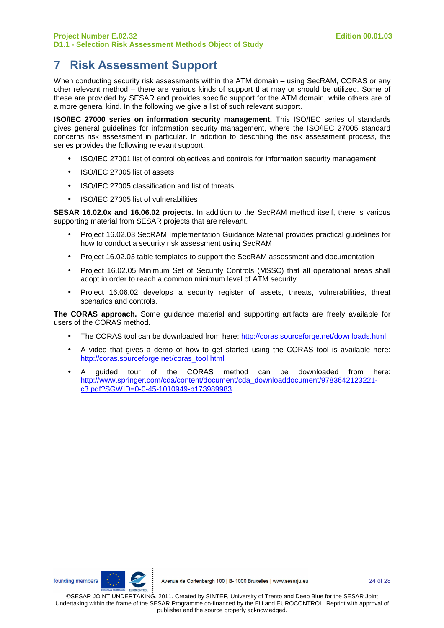# **7 Risk Assessment Support**

When conducting security risk assessments within the ATM domain – using SecRAM, CORAS or any other relevant method – there are various kinds of support that may or should be utilized. Some of these are provided by SESAR and provides specific support for the ATM domain, while others are of a more general kind. In the following we give a list of such relevant support.

**ISO/IEC 27000 series on information security management.** This ISO/IEC series of standards gives general guidelines for information security management, where the ISO/IEC 27005 standard concerns risk assessment in particular. In addition to describing the risk assessment process, the series provides the following relevant support.

- ISO/IEC 27001 list of control objectives and controls for information security management
- ISO/IEC 27005 list of assets
- ISO/IEC 27005 classification and list of threats
- ISO/IEC 27005 list of vulnerabilities

**SESAR 16.02.0x and 16.06.02 projects.** In addition to the SecRAM method itself, there is various supporting material from SESAR projects that are relevant.

- Project 16.02.03 SecRAM Implementation Guidance Material provides practical guidelines for how to conduct a security risk assessment using SecRAM
- Project 16.02.03 table templates to support the SecRAM assessment and documentation
- Project 16.02.05 Minimum Set of Security Controls (MSSC) that all operational areas shall adopt in order to reach a common minimum level of ATM security
- Project 16.06.02 develops a security register of assets, threats, vulnerabilities, threat scenarios and controls.

**The CORAS approach.** Some guidance material and supporting artifacts are freely available for users of the CORAS method.

- The CORAS tool can be downloaded from here: http://coras.sourceforge.net/downloads.html
- A video that gives a demo of how to get started using the CORAS tool is available here: http://coras.sourceforge.net/coras\_tool.html
- A guided tour of the CORAS method can be downloaded from here: http://www.springer.com/cda/content/document/cda\_downloaddocument/9783642123221 c3.pdf?SGWID=0-0-45-1010949-p173989983

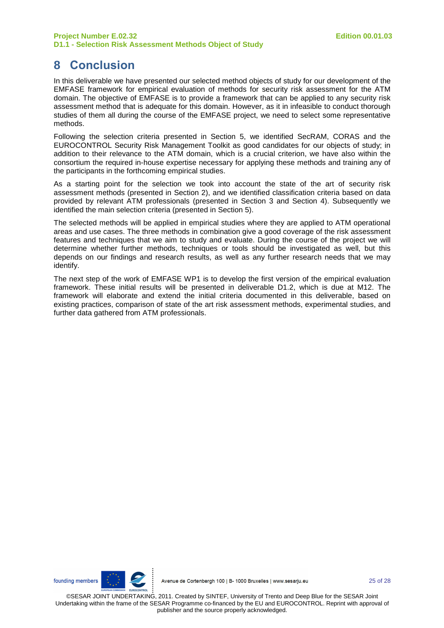# **8 Conclusion**

In this deliverable we have presented our selected method objects of study for our development of the EMFASE framework for empirical evaluation of methods for security risk assessment for the ATM domain. The objective of EMFASE is to provide a framework that can be applied to any security risk assessment method that is adequate for this domain. However, as it in infeasible to conduct thorough studies of them all during the course of the EMFASE project, we need to select some representative methods.

Following the selection criteria presented in Section 5, we identified SecRAM, CORAS and the EUROCONTROL Security Risk Management Toolkit as good candidates for our objects of study; in addition to their relevance to the ATM domain, which is a crucial criterion, we have also within the consortium the required in-house expertise necessary for applying these methods and training any of the participants in the forthcoming empirical studies.

As a starting point for the selection we took into account the state of the art of security risk assessment methods (presented in Section 2), and we identified classification criteria based on data provided by relevant ATM professionals (presented in Section 3 and Section 4). Subsequently we identified the main selection criteria (presented in Section 5).

The selected methods will be applied in empirical studies where they are applied to ATM operational areas and use cases. The three methods in combination give a good coverage of the risk assessment features and techniques that we aim to study and evaluate. During the course of the project we will determine whether further methods, techniques or tools should be investigated as well, but this depends on our findings and research results, as well as any further research needs that we may identify.

The next step of the work of EMFASE WP1 is to develop the first version of the empirical evaluation framework. These initial results will be presented in deliverable D1.2, which is due at M12. The framework will elaborate and extend the initial criteria documented in this deliverable, based on existing practices, comparison of state of the art risk assessment methods, experimental studies, and further data gathered from ATM professionals.

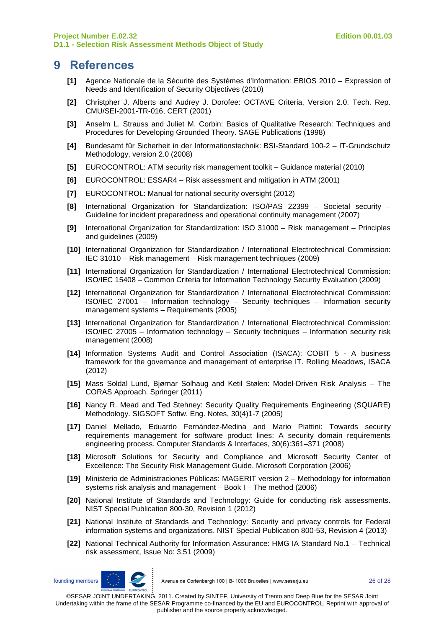#### **9 References**

- **[1]** Agence Nationale de la Sécurité des Systèmes d'Information: EBIOS 2010 Expression of Needs and Identification of Security Objectives (2010)
- **[2]** Christpher J. Alberts and Audrey J. Dorofee: OCTAVE Criteria, Version 2.0. Tech. Rep. CMU/SEI-2001-TR-016, CERT (2001)
- **[3]** Anselm L. Strauss and Juliet M. Corbin: Basics of Qualitative Research: Techniques and Procedures for Developing Grounded Theory. SAGE Publications (1998)
- **[4]** Bundesamt für Sicherheit in der Informationstechnik: BSI-Standard 100-2 IT-Grundschutz Methodology, version 2.0 (2008)
- **[5]** EUROCONTROL: ATM security risk management toolkit Guidance material (2010)
- **[6]** EUROCONTROL: ESSAR4 Risk assessment and mitigation in ATM (2001)
- **[7]** EUROCONTROL: Manual for national security oversight (2012)
- **[8]** International Organization for Standardization: ISO/PAS 22399 Societal security Guideline for incident preparedness and operational continuity management (2007)
- **[9]** International Organization for Standardization: ISO 31000 Risk management Principles and guidelines (2009)
- **[10]** International Organization for Standardization / International Electrotechnical Commission: IEC 31010 – Risk management – Risk management techniques (2009)
- **[11]** International Organization for Standardization / International Electrotechnical Commission: ISO/IEC 15408 – Common Criteria for Information Technology Security Evaluation (2009)
- **[12]** International Organization for Standardization / International Electrotechnical Commission: ISO/IEC 27001 – Information technology – Security techniques – Information security management systems – Requirements (2005)
- **[13]** International Organization for Standardization / International Electrotechnical Commission: ISO/IEC 27005 – Information technology – Security techniques – Information security risk management (2008)
- **[14]** Information Systems Audit and Control Association (ISACA): COBIT 5 A business framework for the governance and management of enterprise IT. Rolling Meadows, ISACA (2012)
- **[15]** Mass Soldal Lund, Bjørnar Solhaug and Ketil Stølen: Model-Driven Risk Analysis The CORAS Approach. Springer (2011)
- **[16]** Nancy R. Mead and Ted Stehney: Security Quality Requirements Engineering (SQUARE) Methodology. SIGSOFT Softw. Eng. Notes, 30(4)1-7 (2005)
- **[17]** Daniel Mellado, Eduardo Fernández-Medina and Mario Piattini: Towards security requirements management for software product lines: A security domain requirements engineering process. Computer Standards & Interfaces, 30(6):361–371 (2008)
- **[18]** Microsoft Solutions for Security and Compliance and Microsoft Security Center of Excellence: The Security Risk Management Guide. Microsoft Corporation (2006)
- **[19]** Ministerio de Administraciones Públicas: MAGERIT version 2 Methodology for information systems risk analysis and management – Book I – The method (2006)
- **[20]** National Institute of Standards and Technology: Guide for conducting risk assessments. NIST Special Publication 800-30, Revision 1 (2012)
- **[21]** National Institute of Standards and Technology: Security and privacy controls for Federal information systems and organizations. NIST Special Publication 800-53, Revision 4 (2013)
- **[22]** National Technical Authority for Information Assurance: HMG IA Standard No.1 Technical risk assessment, Issue No: 3.51 (2009)



Avenue de Cortenbergh 100 | B- 1000 Bruxelles | www.sesarju.eu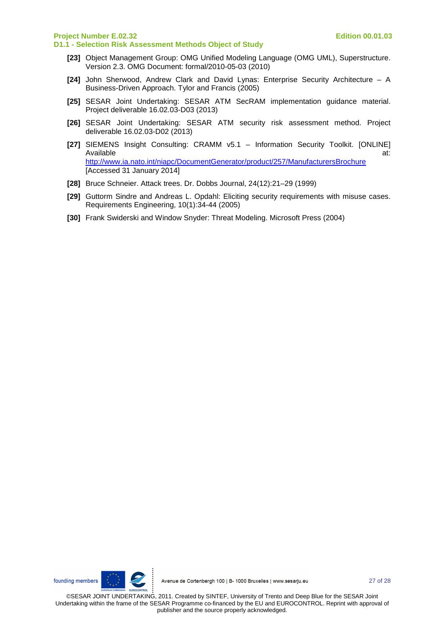- **[23]** Object Management Group: OMG Unified Modeling Language (OMG UML), Superstructure. Version 2.3. OMG Document: formal/2010-05-03 (2010)
- **[24]** John Sherwood, Andrew Clark and David Lynas: Enterprise Security Architecture A Business-Driven Approach. Tylor and Francis (2005)
- **[25]** SESAR Joint Undertaking: SESAR ATM SecRAM implementation guidance material. Project deliverable 16.02.03-D03 (2013)
- **[26]** SESAR Joint Undertaking: SESAR ATM security risk assessment method. Project deliverable 16.02.03-D02 (2013)
- **[27]** SIEMENS Insight Consulting: CRAMM v5.1 Information Security Toolkit. [ONLINE] Available at: the contract of the contract of the contract of the contract of the contract of the contract of the contract of the contract of the contract of the contract of the contract of the contract of the contract of http://www.ia.nato.int/niapc/DocumentGenerator/product/257/ManufacturersBrochure [Accessed 31 January 2014]
- **[28]** Bruce Schneier. Attack trees. Dr. Dobbs Journal, 24(12):21–29 (1999)
- **[29]** Guttorm Sindre and Andreas L. Opdahl: Eliciting security requirements with misuse cases. Requirements Engineering, 10(1):34-44 (2005)
- **[30]** Frank Swiderski and Window Snyder: Threat Modeling. Microsoft Press (2004)



Avenue de Cortenbergh 100 | B- 1000 Bruxelles | www.sesarju.eu